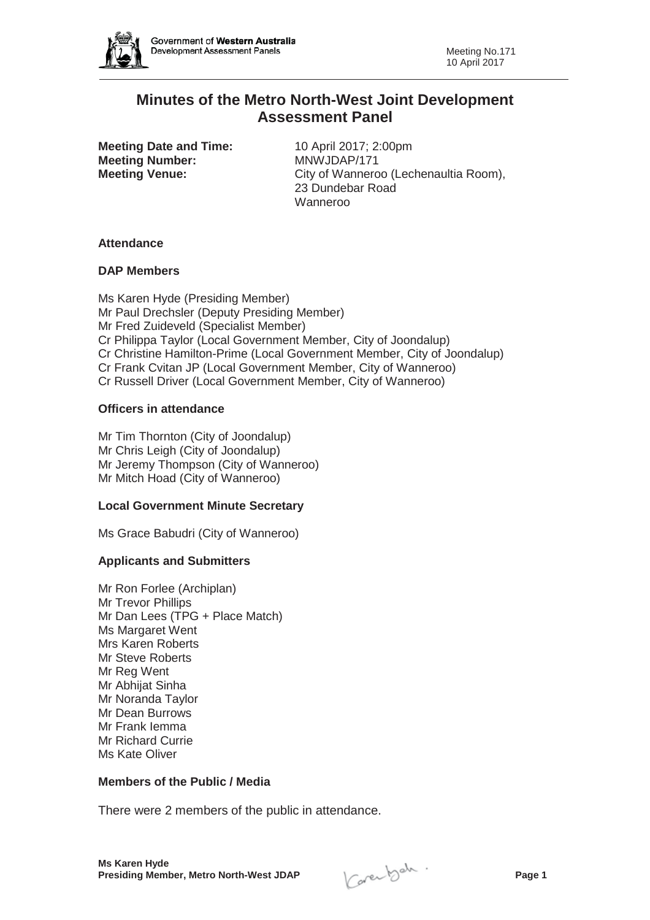

# **Minutes of the Metro North-West Joint Development Assessment Panel**

**Meeting Date and Time:** 10 April 2017; 2:00pm **Meeting Number:** MNWJDAP/171

**Meeting Venue:** City of Wanneroo (Lechenaultia Room), 23 Dundebar Road Wanneroo

### **Attendance**

# **DAP Members**

Ms Karen Hyde (Presiding Member) Mr Paul Drechsler (Deputy Presiding Member) Mr Fred Zuideveld (Specialist Member) Cr Philippa Taylor (Local Government Member, City of Joondalup) Cr Christine Hamilton-Prime (Local Government Member, City of Joondalup) Cr Frank Cvitan JP (Local Government Member, City of Wanneroo) Cr Russell Driver (Local Government Member, City of Wanneroo)

# **Officers in attendance**

Mr Tim Thornton (City of Joondalup) Mr Chris Leigh (City of Joondalup) Mr Jeremy Thompson (City of Wanneroo) Mr Mitch Hoad (City of Wanneroo)

### **Local Government Minute Secretary**

Ms Grace Babudri (City of Wanneroo)

# **Applicants and Submitters**

Mr Ron Forlee (Archiplan) Mr Trevor Phillips Mr Dan Lees (TPG + Place Match) Ms Margaret Went Mrs Karen Roberts Mr Steve Roberts Mr Reg Went Mr Abhijat Sinha Mr Noranda Taylor Mr Dean Burrows Mr Frank Iemma Mr Richard Currie Ms Kate Oliver

### **Members of the Public / Media**

There were 2 members of the public in attendance.

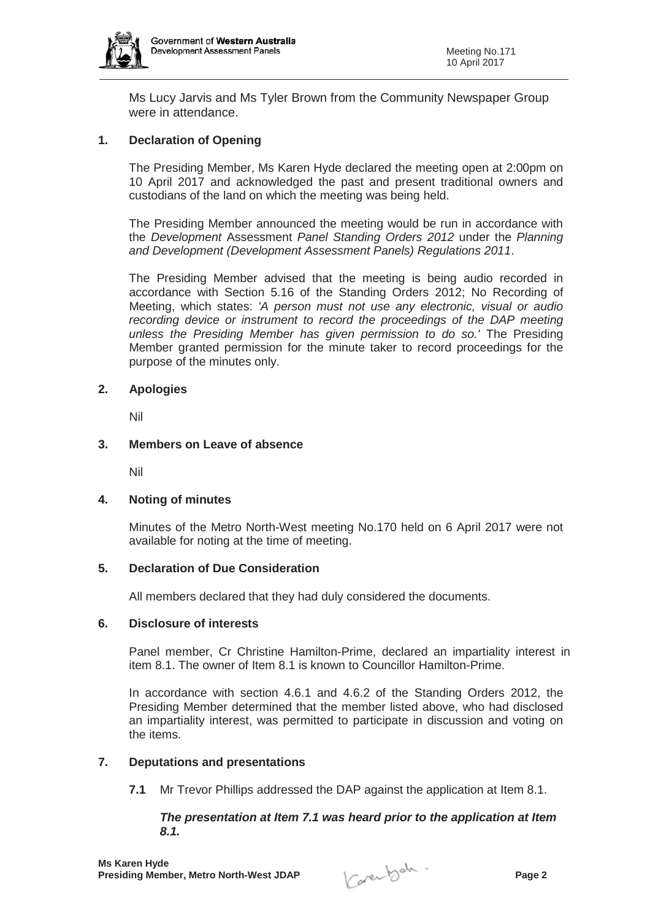

Ms Lucy Jarvis and Ms Tyler Brown from the Community Newspaper Group were in attendance.

# **1. Declaration of Opening**

The Presiding Member, Ms Karen Hyde declared the meeting open at 2:00pm on 10 April 2017 and acknowledged the past and present traditional owners and custodians of the land on which the meeting was being held.

The Presiding Member announced the meeting would be run in accordance with the *Development* Assessment *Panel Standing Orders 2012* under the *Planning and Development (Development Assessment Panels) Regulations 2011*.

The Presiding Member advised that the meeting is being audio recorded in accordance with Section 5.16 of the Standing Orders 2012; No Recording of Meeting, which states: *'A person must not use any electronic, visual or audio recording device or instrument to record the proceedings of the DAP meeting unless the Presiding Member has given permission to do so.'* The Presiding Member granted permission for the minute taker to record proceedings for the purpose of the minutes only.

### **2. Apologies**

Nil

### **3. Members on Leave of absence**

Nil

### **4. Noting of minutes**

Minutes of the Metro North-West meeting No.170 held on 6 April 2017 were not available for noting at the time of meeting.

### **5. Declaration of Due Consideration**

All members declared that they had duly considered the documents.

### **6. Disclosure of interests**

Panel member, Cr Christine Hamilton-Prime, declared an impartiality interest in item 8.1. The owner of Item 8.1 is known to Councillor Hamilton-Prime.

In accordance with section 4.6.1 and 4.6.2 of the Standing Orders 2012, the Presiding Member determined that the member listed above, who had disclosed an impartiality interest, was permitted to participate in discussion and voting on the items.

#### **7. Deputations and presentations**

**7.1** Mr Trevor Phillips addressed the DAP against the application at Item 8.1.

### *The presentation at Item 7.1 was heard prior to the application at Item 8.1.*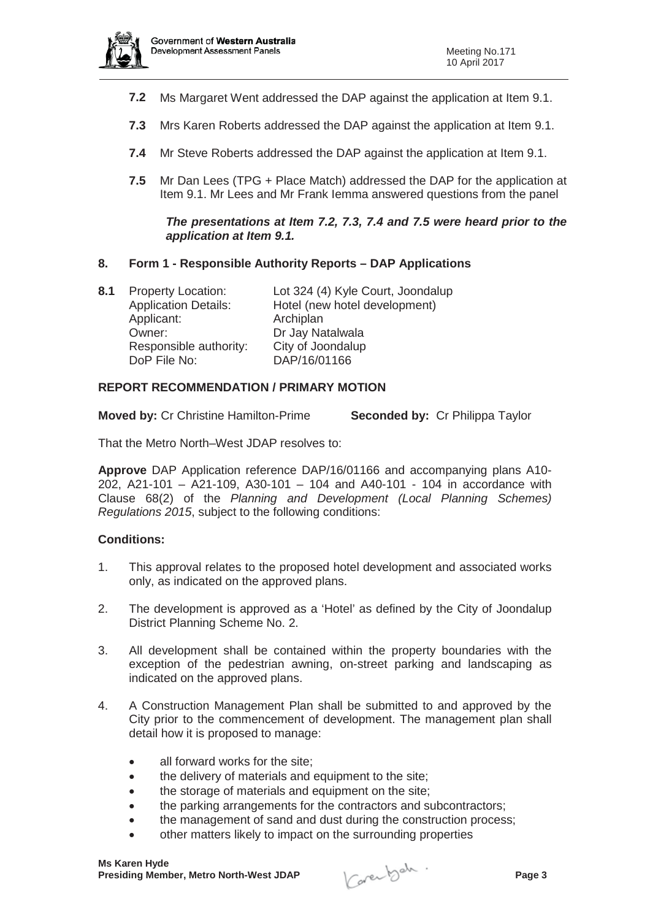

- **7.2** Ms Margaret Went addressed the DAP against the application at Item 9.1.
- **7.3** Mrs Karen Roberts addressed the DAP against the application at Item 9.1.
- **7.4** Mr Steve Roberts addressed the DAP against the application at Item 9.1.
- **7.5** Mr Dan Lees (TPG + Place Match) addressed the DAP for the application at Item 9.1. Mr Lees and Mr Frank Iemma answered questions from the panel

### *The presentations at Item 7.2, 7.3, 7.4 and 7.5 were heard prior to the application at Item 9.1.*

### **8. Form 1 - Responsible Authority Reports – DAP Applications**

**8.1** Property Location: Lot 324 (4) Kyle Court, Joondalup Application Details: Hotel (new hotel development) Applicant: Archiplan<br>
Owner: Dr Jav Na Dr Jay Natalwala Responsible authority: City of Joondalup DoP File No: DAP/16/01166

### **REPORT RECOMMENDATION / PRIMARY MOTION**

**Moved by:** Cr Christine Hamilton-Prime **Seconded by:** Cr Philippa Taylor

That the Metro North–West JDAP resolves to:

**Approve** DAP Application reference DAP/16/01166 and accompanying plans A10- 202, A21-101 – A21-109, A30-101 – 104 and A40-101 - 104 in accordance with Clause 68(2) of the *Planning and Development (Local Planning Schemes) Regulations 2015*, subject to the following conditions:

#### **Conditions:**

- 1. This approval relates to the proposed hotel development and associated works only, as indicated on the approved plans.
- 2. The development is approved as a 'Hotel' as defined by the City of Joondalup District Planning Scheme No. 2.
- 3. All development shall be contained within the property boundaries with the exception of the pedestrian awning, on-street parking and landscaping as indicated on the approved plans.
- 4. A Construction Management Plan shall be submitted to and approved by the City prior to the commencement of development. The management plan shall detail how it is proposed to manage:
	- $\bullet$  all forward works for the site;
	- $\bullet$  the delivery of materials and equipment to the site;
	- the storage of materials and equipment on the site;
	- the parking arrangements for the contractors and subcontractors;
	- the management of sand and dust during the construction process;
	- other matters likely to impact on the surrounding properties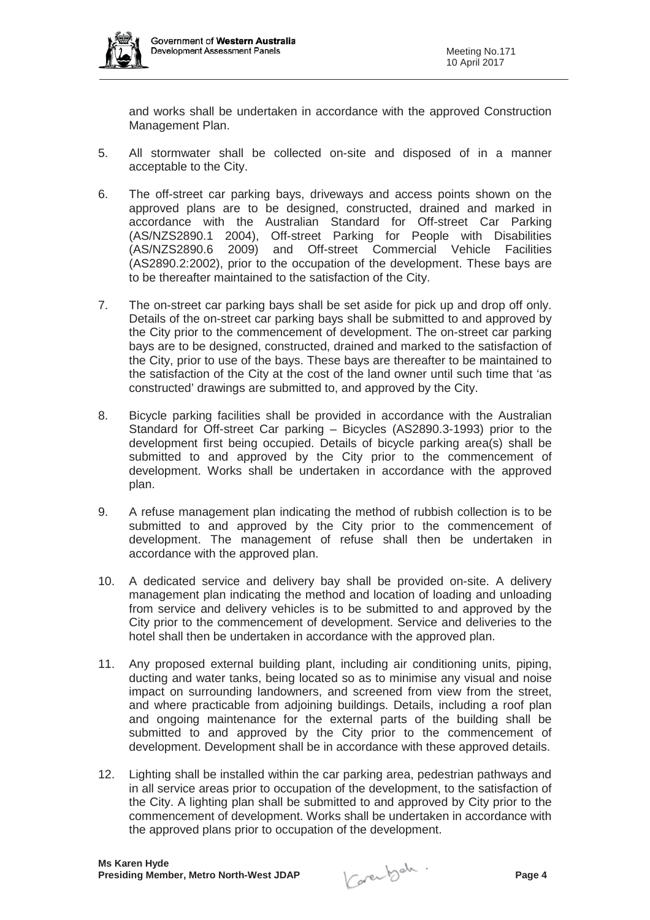

and works shall be undertaken in accordance with the approved Construction Management Plan.

- 5. All stormwater shall be collected on-site and disposed of in a manner acceptable to the City.
- 6. The off-street car parking bays, driveways and access points shown on the approved plans are to be designed, constructed, drained and marked in accordance with the Australian Standard for Off-street Car Parking (AS/NZS2890.1 2004), Off-street Parking for People with Disabilities (AS/NZS2890.6 2009) and Off-street Commercial Vehicle Facilities (AS2890.2:2002), prior to the occupation of the development. These bays are to be thereafter maintained to the satisfaction of the City.
- 7. The on-street car parking bays shall be set aside for pick up and drop off only. Details of the on-street car parking bays shall be submitted to and approved by the City prior to the commencement of development. The on-street car parking bays are to be designed, constructed, drained and marked to the satisfaction of the City, prior to use of the bays. These bays are thereafter to be maintained to the satisfaction of the City at the cost of the land owner until such time that 'as constructed' drawings are submitted to, and approved by the City.
- 8. Bicycle parking facilities shall be provided in accordance with the Australian Standard for Off-street Car parking – Bicycles (AS2890.3-1993) prior to the development first being occupied. Details of bicycle parking area(s) shall be submitted to and approved by the City prior to the commencement of development. Works shall be undertaken in accordance with the approved plan.
- 9. A refuse management plan indicating the method of rubbish collection is to be submitted to and approved by the City prior to the commencement of development. The management of refuse shall then be undertaken in accordance with the approved plan.
- 10. A dedicated service and delivery bay shall be provided on-site. A delivery management plan indicating the method and location of loading and unloading from service and delivery vehicles is to be submitted to and approved by the City prior to the commencement of development. Service and deliveries to the hotel shall then be undertaken in accordance with the approved plan.
- 11. Any proposed external building plant, including air conditioning units, piping, ducting and water tanks, being located so as to minimise any visual and noise impact on surrounding landowners, and screened from view from the street, and where practicable from adjoining buildings. Details, including a roof plan and ongoing maintenance for the external parts of the building shall be submitted to and approved by the City prior to the commencement of development. Development shall be in accordance with these approved details.
- 12. Lighting shall be installed within the car parking area, pedestrian pathways and in all service areas prior to occupation of the development, to the satisfaction of the City. A lighting plan shall be submitted to and approved by City prior to the commencement of development. Works shall be undertaken in accordance with the approved plans prior to occupation of the development.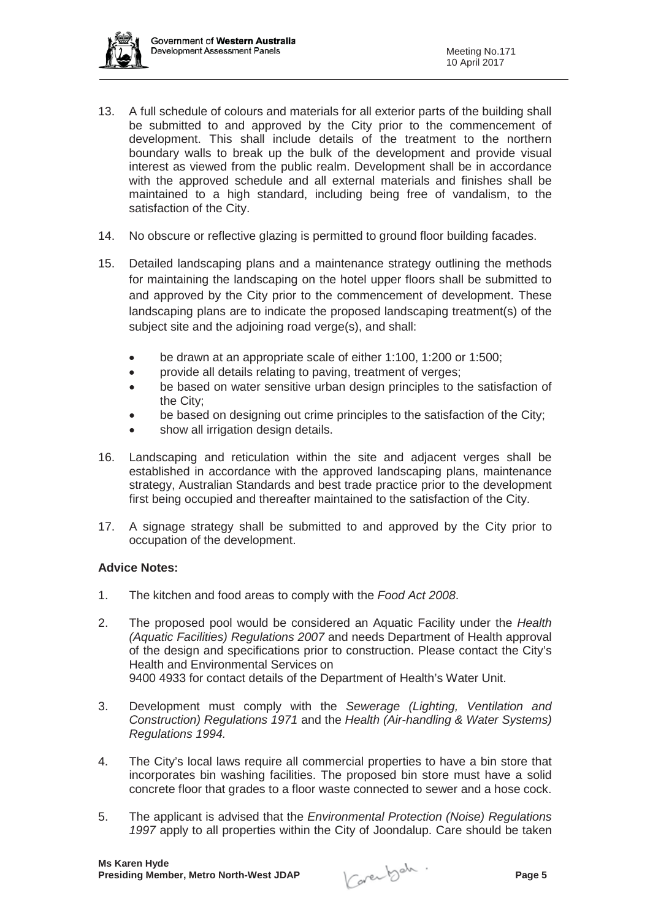- 13. A full schedule of colours and materials for all exterior parts of the building shall be submitted to and approved by the City prior to the commencement of development. This shall include details of the treatment to the northern boundary walls to break up the bulk of the development and provide visual interest as viewed from the public realm. Development shall be in accordance with the approved schedule and all external materials and finishes shall be maintained to a high standard, including being free of vandalism, to the satisfaction of the City.
- 14. No obscure or reflective glazing is permitted to ground floor building facades.
- 15. Detailed landscaping plans and a maintenance strategy outlining the methods for maintaining the landscaping on the hotel upper floors shall be submitted to and approved by the City prior to the commencement of development. These landscaping plans are to indicate the proposed landscaping treatment(s) of the subject site and the adjoining road verge(s), and shall:
	- be drawn at an appropriate scale of either 1:100, 1:200 or 1:500;
	- provide all details relating to paving, treatment of verges;
	- be based on water sensitive urban design principles to the satisfaction of the City;
	- be based on designing out crime principles to the satisfaction of the City;
	- show all irrigation design details.
- 16. Landscaping and reticulation within the site and adjacent verges shall be established in accordance with the approved landscaping plans, maintenance strategy, Australian Standards and best trade practice prior to the development first being occupied and thereafter maintained to the satisfaction of the City.
- 17. A signage strategy shall be submitted to and approved by the City prior to occupation of the development.

### **Advice Notes:**

- 1. The kitchen and food areas to comply with the *Food Act 2008*.
- 2. The proposed pool would be considered an Aquatic Facility under the *Health (Aquatic Facilities) Regulations 2007* and needs Department of Health approval of the design and specifications prior to construction. Please contact the City's Health and Environmental Services on 9400 4933 for contact details of the Department of Health's Water Unit.
- 3. Development must comply with the *Sewerage (Lighting, Ventilation and Construction) Regulations 1971* and the *Health (Air-handling & Water Systems) Regulations 1994.*
- 4. The City's local laws require all commercial properties to have a bin store that incorporates bin washing facilities. The proposed bin store must have a solid concrete floor that grades to a floor waste connected to sewer and a hose cock.
- 5. The applicant is advised that the *Environmental Protection (Noise) Regulations 1997* apply to all properties within the City of Joondalup. Care should be taken

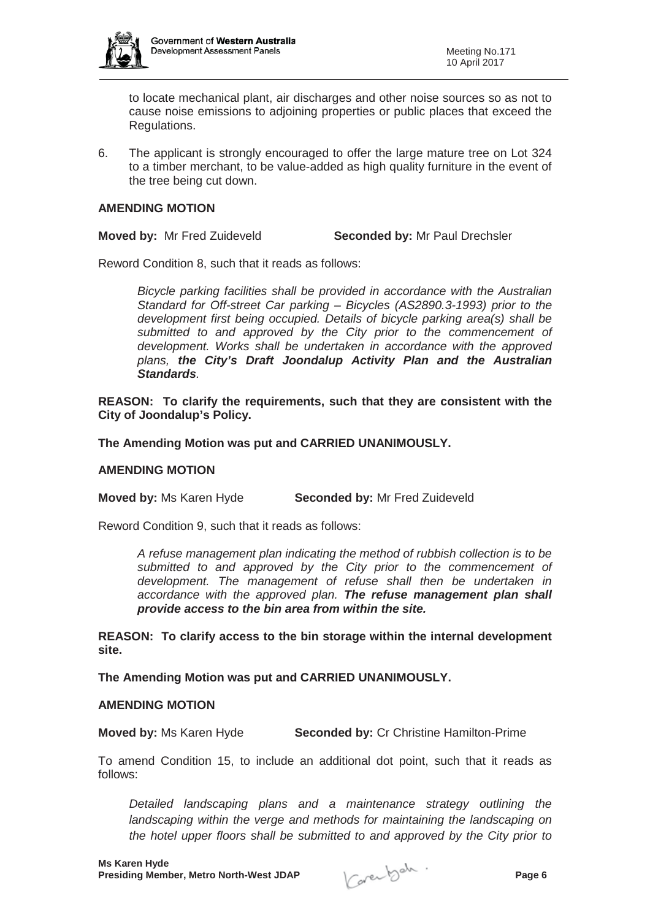

to locate mechanical plant, air discharges and other noise sources so as not to cause noise emissions to adjoining properties or public places that exceed the Regulations.

6. The applicant is strongly encouraged to offer the large mature tree on Lot 324 to a timber merchant, to be value-added as high quality furniture in the event of the tree being cut down.

#### **AMENDING MOTION**

**Moved by:** Mr Fred Zuideveld **Seconded by:** Mr Paul Drechsler

Reword Condition 8, such that it reads as follows:

*Bicycle parking facilities shall be provided in accordance with the Australian Standard for Off-street Car parking – Bicycles (AS2890.3-1993) prior to the development first being occupied. Details of bicycle parking area(s) shall be submitted to and approved by the City prior to the commencement of development. Works shall be undertaken in accordance with the approved plans, the City's Draft Joondalup Activity Plan and the Australian Standards.*

**REASON: To clarify the requirements, such that they are consistent with the City of Joondalup's Policy.**

**The Amending Motion was put and CARRIED UNANIMOUSLY.**

#### **AMENDING MOTION**

**Moved by:** Ms Karen Hyde **Seconded by:** Mr Fred Zuideveld

Reword Condition 9, such that it reads as follows:

*A refuse management plan indicating the method of rubbish collection is to be submitted to and approved by the City prior to the commencement of development. The management of refuse shall then be undertaken in accordance with the approved plan. The refuse management plan shall provide access to the bin area from within the site.*

**REASON: To clarify access to the bin storage within the internal development site.**

**The Amending Motion was put and CARRIED UNANIMOUSLY.**

#### **AMENDING MOTION**

**Moved by:** Ms Karen Hyde **Seconded by:** Cr Christine Hamilton-Prime

To amend Condition 15, to include an additional dot point, such that it reads as follows:

*Detailed landscaping plans and a maintenance strategy outlining the landscaping within the verge and methods for maintaining the landscaping on the hotel upper floors shall be submitted to and approved by the City prior to*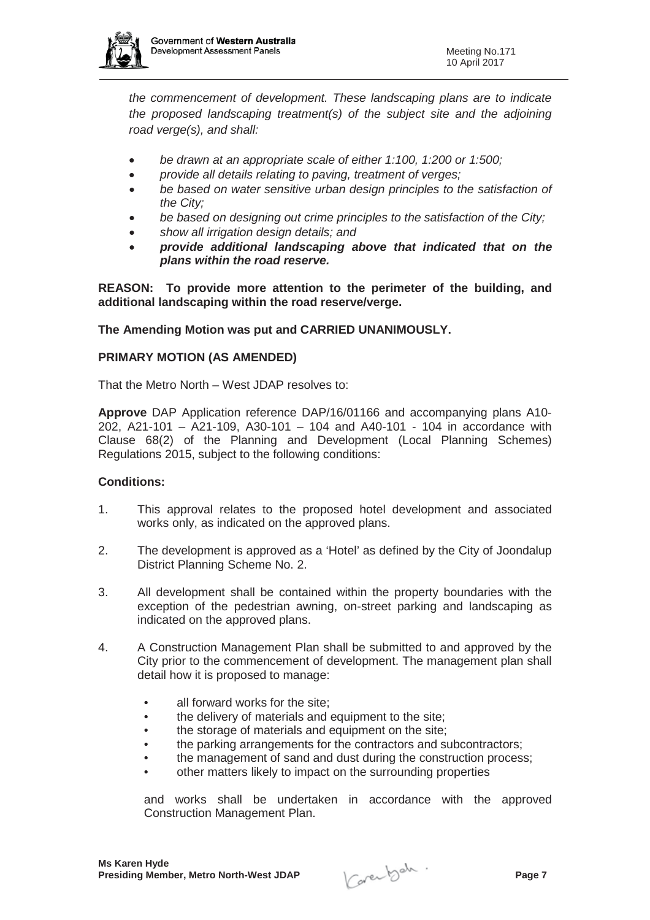

*the commencement of development. These landscaping plans are to indicate the proposed landscaping treatment(s) of the subject site and the adjoining road verge(s), and shall:*

- x *be drawn at an appropriate scale of either 1:100, 1:200 or 1:500;*
- x *provide all details relating to paving, treatment of verges;*
- x *be based on water sensitive urban design principles to the satisfaction of the City;*
- be based on designing out crime principles to the satisfaction of the City;
- x *show all irrigation design details; and*
- x *provide additional landscaping above that indicated that on the plans within the road reserve.*

**REASON: To provide more attention to the perimeter of the building, and additional landscaping within the road reserve/verge.**

**The Amending Motion was put and CARRIED UNANIMOUSLY.**

### **PRIMARY MOTION (AS AMENDED)**

That the Metro North – West JDAP resolves to:

**Approve** DAP Application reference DAP/16/01166 and accompanying plans A10- 202, A21-101 – A21-109, A30-101 – 104 and A40-101 - 104 in accordance with Clause 68(2) of the Planning and Development (Local Planning Schemes) Regulations 2015, subject to the following conditions:

### **Conditions:**

- 1. This approval relates to the proposed hotel development and associated works only, as indicated on the approved plans.
- 2. The development is approved as a 'Hotel' as defined by the City of Joondalup District Planning Scheme No. 2.
- 3. All development shall be contained within the property boundaries with the exception of the pedestrian awning, on-street parking and landscaping as indicated on the approved plans.
- 4. A Construction Management Plan shall be submitted to and approved by the City prior to the commencement of development. The management plan shall detail how it is proposed to manage:
	- all forward works for the site;
	- the delivery of materials and equipment to the site;
	- the storage of materials and equipment on the site;
	- the parking arrangements for the contractors and subcontractors;
	- the management of sand and dust during the construction process;
	- other matters likely to impact on the surrounding properties

and works shall be undertaken in accordance with the approved Construction Management Plan.

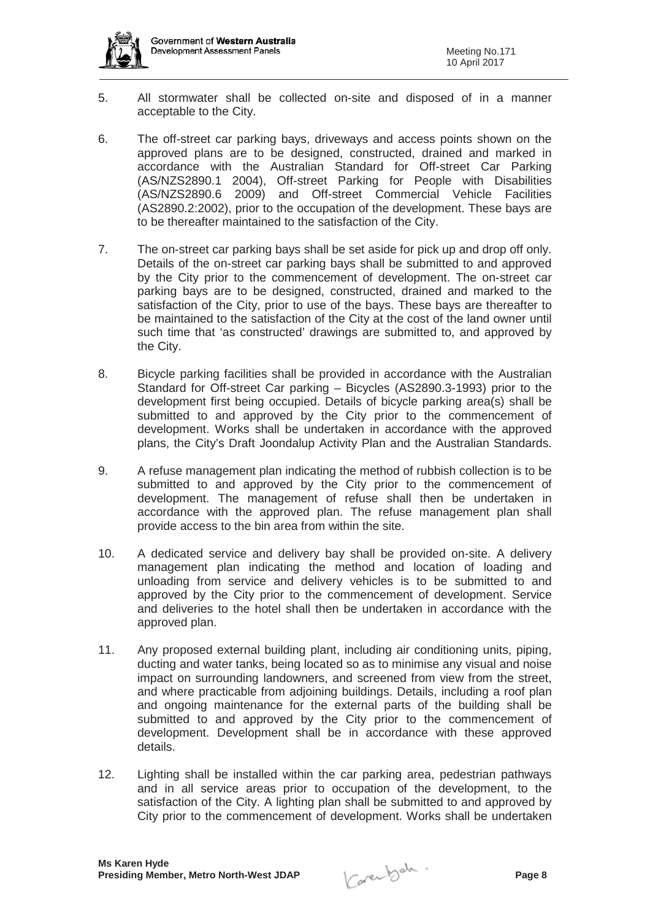

- 5. All stormwater shall be collected on-site and disposed of in a manner acceptable to the City.
- 6. The off-street car parking bays, driveways and access points shown on the approved plans are to be designed, constructed, drained and marked in accordance with the Australian Standard for Off-street Car Parking (AS/NZS2890.1 2004), Off-street Parking for People with Disabilities (AS/NZS2890.6 2009) and Off-street Commercial Vehicle Facilities (AS2890.2:2002), prior to the occupation of the development. These bays are to be thereafter maintained to the satisfaction of the City.
- 7. The on-street car parking bays shall be set aside for pick up and drop off only. Details of the on-street car parking bays shall be submitted to and approved by the City prior to the commencement of development. The on-street car parking bays are to be designed, constructed, drained and marked to the satisfaction of the City, prior to use of the bays. These bays are thereafter to be maintained to the satisfaction of the City at the cost of the land owner until such time that 'as constructed' drawings are submitted to, and approved by the City.
- 8. Bicycle parking facilities shall be provided in accordance with the Australian Standard for Off-street Car parking – Bicycles (AS2890.3-1993) prior to the development first being occupied. Details of bicycle parking area(s) shall be submitted to and approved by the City prior to the commencement of development. Works shall be undertaken in accordance with the approved plans, the City's Draft Joondalup Activity Plan and the Australian Standards.
- 9. A refuse management plan indicating the method of rubbish collection is to be submitted to and approved by the City prior to the commencement of development. The management of refuse shall then be undertaken in accordance with the approved plan. The refuse management plan shall provide access to the bin area from within the site.
- 10. A dedicated service and delivery bay shall be provided on-site. A delivery management plan indicating the method and location of loading and unloading from service and delivery vehicles is to be submitted to and approved by the City prior to the commencement of development. Service and deliveries to the hotel shall then be undertaken in accordance with the approved plan.
- 11. Any proposed external building plant, including air conditioning units, piping, ducting and water tanks, being located so as to minimise any visual and noise impact on surrounding landowners, and screened from view from the street, and where practicable from adjoining buildings. Details, including a roof plan and ongoing maintenance for the external parts of the building shall be submitted to and approved by the City prior to the commencement of development. Development shall be in accordance with these approved details.
- 12. Lighting shall be installed within the car parking area, pedestrian pathways and in all service areas prior to occupation of the development, to the satisfaction of the City. A lighting plan shall be submitted to and approved by City prior to the commencement of development. Works shall be undertaken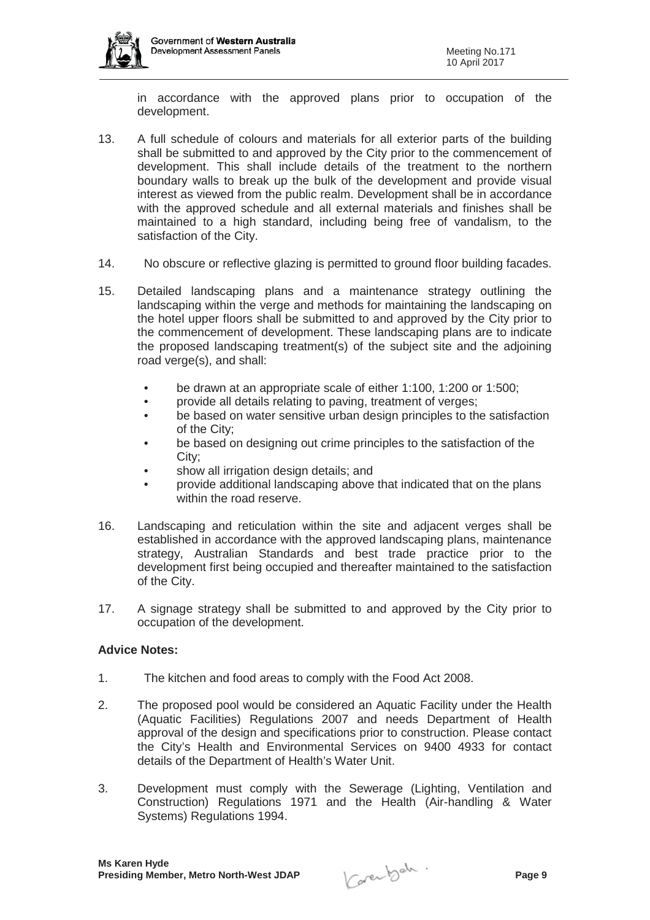

in accordance with the approved plans prior to occupation of the development.

- 13. A full schedule of colours and materials for all exterior parts of the building shall be submitted to and approved by the City prior to the commencement of development. This shall include details of the treatment to the northern boundary walls to break up the bulk of the development and provide visual interest as viewed from the public realm. Development shall be in accordance with the approved schedule and all external materials and finishes shall be maintained to a high standard, including being free of vandalism, to the satisfaction of the City.
- 14. No obscure or reflective glazing is permitted to ground floor building facades.
- 15. Detailed landscaping plans and a maintenance strategy outlining the landscaping within the verge and methods for maintaining the landscaping on the hotel upper floors shall be submitted to and approved by the City prior to the commencement of development. These landscaping plans are to indicate the proposed landscaping treatment(s) of the subject site and the adjoining road verge(s), and shall:
	- be drawn at an appropriate scale of either 1:100, 1:200 or 1:500;
	- provide all details relating to paving, treatment of verges:
	- be based on water sensitive urban design principles to the satisfaction of the City;
	- be based on designing out crime principles to the satisfaction of the City;
	- show all irrigation design details; and
	- provide additional landscaping above that indicated that on the plans within the road reserve.
- 16. Landscaping and reticulation within the site and adjacent verges shall be established in accordance with the approved landscaping plans, maintenance strategy, Australian Standards and best trade practice prior to the development first being occupied and thereafter maintained to the satisfaction of the City.
- 17. A signage strategy shall be submitted to and approved by the City prior to occupation of the development.

### **Advice Notes:**

- 1. The kitchen and food areas to comply with the Food Act 2008.
- 2. The proposed pool would be considered an Aquatic Facility under the Health (Aquatic Facilities) Regulations 2007 and needs Department of Health approval of the design and specifications prior to construction. Please contact the City's Health and Environmental Services on 9400 4933 for contact details of the Department of Health's Water Unit.
- 3. Development must comply with the Sewerage (Lighting, Ventilation and Construction) Regulations 1971 and the Health (Air-handling & Water Systems) Regulations 1994.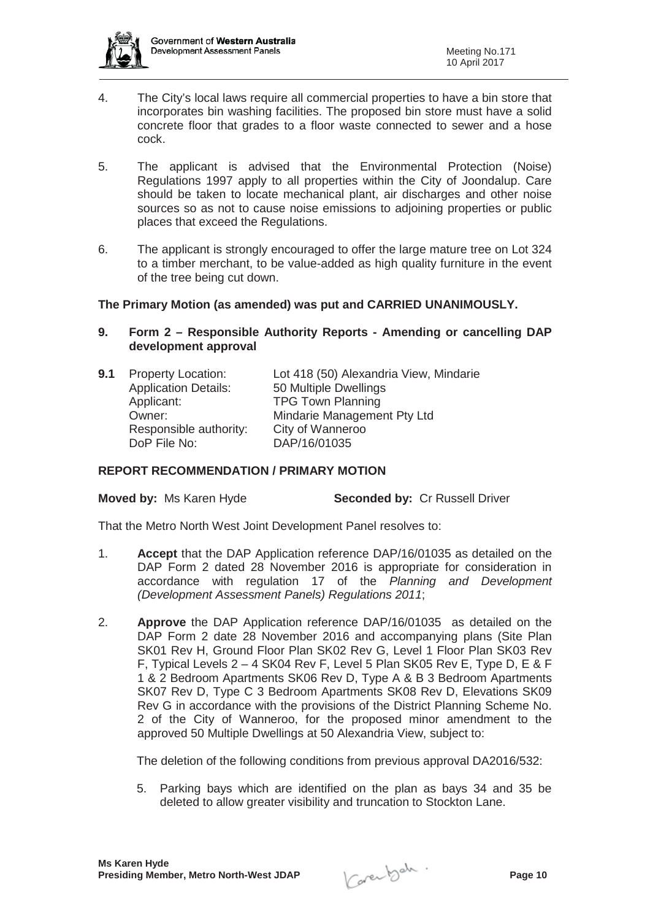

- 4. The City's local laws require all commercial properties to have a bin store that incorporates bin washing facilities. The proposed bin store must have a solid concrete floor that grades to a floor waste connected to sewer and a hose cock.
- 5. The applicant is advised that the Environmental Protection (Noise) Regulations 1997 apply to all properties within the City of Joondalup. Care should be taken to locate mechanical plant, air discharges and other noise sources so as not to cause noise emissions to adjoining properties or public places that exceed the Regulations.
- 6. The applicant is strongly encouraged to offer the large mature tree on Lot 324 to a timber merchant, to be value-added as high quality furniture in the event of the tree being cut down.

### **The Primary Motion (as amended) was put and CARRIED UNANIMOUSLY.**

- **9. Form 2 Responsible Authority Reports Amending or cancelling DAP development approval**
- **9.1** Property Location: Lot 418 (50) Alexandria View, Mindarie Application Details: 50 Multiple Dwellings Applicant: TPG Town Planning Owner: Mindarie Management Pty Ltd Responsible authority: City of Wanneroo DoP File No: DAP/16/01035

### **REPORT RECOMMENDATION / PRIMARY MOTION**

**Moved by:** Ms Karen Hyde **Seconded by:** Cr Russell Driver

That the Metro North West Joint Development Panel resolves to:

- 1. **Accept** that the DAP Application reference DAP/16/01035 as detailed on the DAP Form 2 dated 28 November 2016 is appropriate for consideration in accordance with regulation 17 of the *Planning and Development (Development Assessment Panels) Regulations 2011*;
- 2. **Approve** the DAP Application reference DAP/16/01035 as detailed on the DAP Form 2 date 28 November 2016 and accompanying plans (Site Plan SK01 Rev H, Ground Floor Plan SK02 Rev G, Level 1 Floor Plan SK03 Rev F, Typical Levels 2 – 4 SK04 Rev F, Level 5 Plan SK05 Rev E, Type D, E & F 1 & 2 Bedroom Apartments SK06 Rev D, Type A & B 3 Bedroom Apartments SK07 Rev D, Type C 3 Bedroom Apartments SK08 Rev D, Elevations SK09 Rev G in accordance with the provisions of the District Planning Scheme No. 2 of the City of Wanneroo, for the proposed minor amendment to the approved 50 Multiple Dwellings at 50 Alexandria View, subject to:

The deletion of the following conditions from previous approval DA2016/532:

5. Parking bays which are identified on the plan as bays 34 and 35 be deleted to allow greater visibility and truncation to Stockton Lane.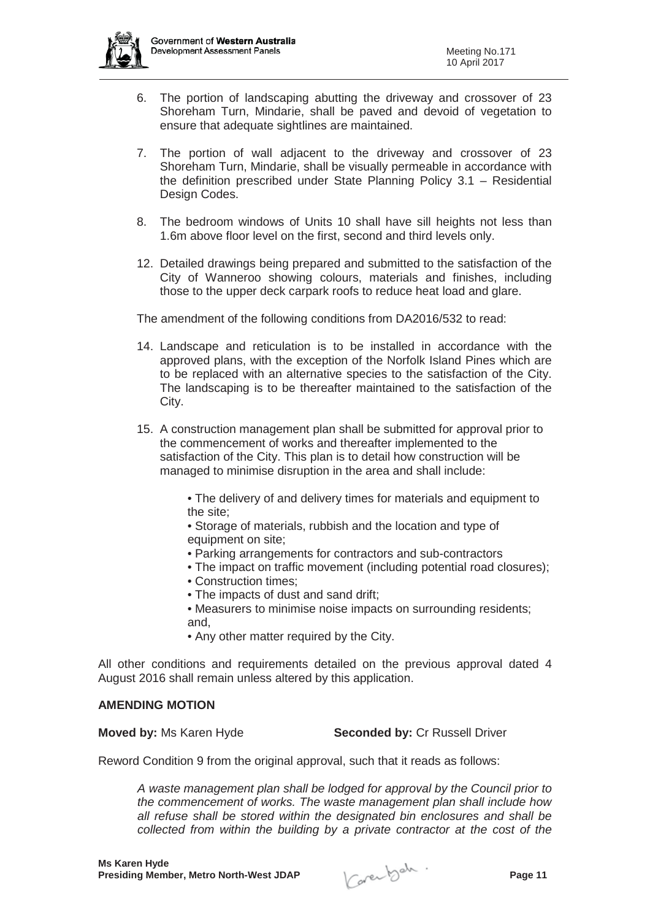

- 6. The portion of landscaping abutting the driveway and crossover of 23 Shoreham Turn, Mindarie, shall be paved and devoid of vegetation to ensure that adequate sightlines are maintained.
- 7. The portion of wall adjacent to the driveway and crossover of 23 Shoreham Turn, Mindarie, shall be visually permeable in accordance with the definition prescribed under State Planning Policy 3.1 – Residential Design Codes.
- 8. The bedroom windows of Units 10 shall have sill heights not less than 1.6m above floor level on the first, second and third levels only.
- 12. Detailed drawings being prepared and submitted to the satisfaction of the City of Wanneroo showing colours, materials and finishes, including those to the upper deck carpark roofs to reduce heat load and glare.

The amendment of the following conditions from DA2016/532 to read:

- 14. Landscape and reticulation is to be installed in accordance with the approved plans, with the exception of the Norfolk Island Pines which are to be replaced with an alternative species to the satisfaction of the City. The landscaping is to be thereafter maintained to the satisfaction of the City.
- 15. A construction management plan shall be submitted for approval prior to the commencement of works and thereafter implemented to the satisfaction of the City. This plan is to detail how construction will be managed to minimise disruption in the area and shall include:

• The delivery of and delivery times for materials and equipment to the site;

• Storage of materials, rubbish and the location and type of equipment on site;

- Parking arrangements for contractors and sub-contractors
- The impact on traffic movement (including potential road closures);
- Construction times;
- The impacts of dust and sand drift;
- Measurers to minimise noise impacts on surrounding residents; and,
- Any other matter required by the City.

All other conditions and requirements detailed on the previous approval dated 4 August 2016 shall remain unless altered by this application.

#### **AMENDING MOTION**

**Moved by:** Ms Karen Hyde **Seconded by:** Cr Russell Driver

Reword Condition 9 from the original approval, such that it reads as follows:

*A waste management plan shall be lodged for approval by the Council prior to the commencement of works. The waste management plan shall include how all refuse shall be stored within the designated bin enclosures and shall be collected from within the building by a private contractor at the cost of the*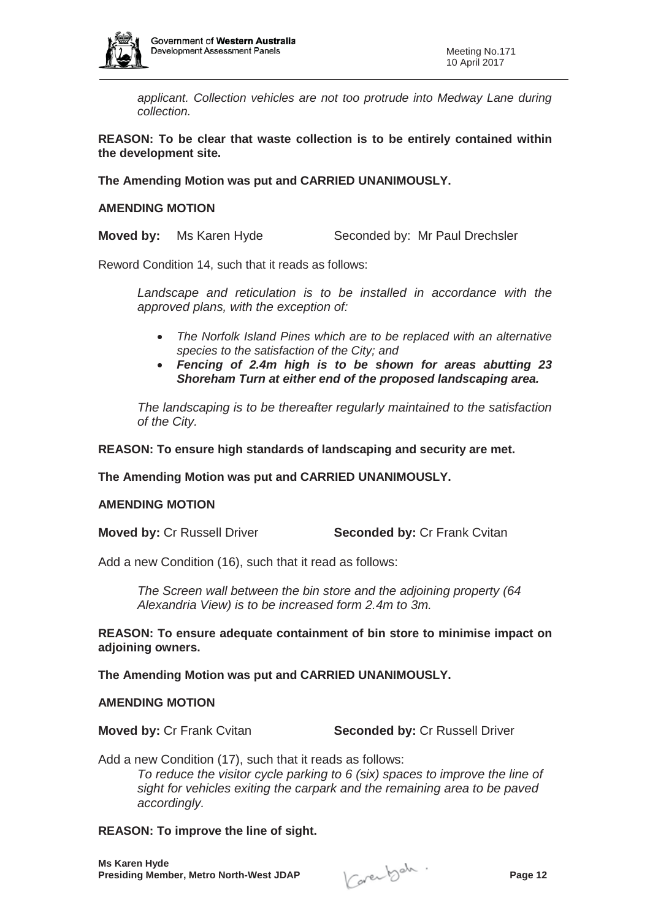

*applicant. Collection vehicles are not too protrude into Medway Lane during collection.* 

**REASON: To be clear that waste collection is to be entirely contained within the development site.**

**The Amending Motion was put and CARRIED UNANIMOUSLY.**

#### **AMENDING MOTION**

**Moved by:** Ms Karen Hyde Seconded by: Mr Paul Drechsler

Reword Condition 14, such that it reads as follows:

*Landscape and reticulation is to be installed in accordance with the approved plans, with the exception of:*

- x *The Norfolk Island Pines which are to be replaced with an alternative species to the satisfaction of the City; and*
- x *Fencing of 2.4m high is to be shown for areas abutting 23 Shoreham Turn at either end of the proposed landscaping area.*

*The landscaping is to be thereafter regularly maintained to the satisfaction of the City.*

**REASON: To ensure high standards of landscaping and security are met.** 

**The Amending Motion was put and CARRIED UNANIMOUSLY.**

#### **AMENDING MOTION**

**Moved by: Cr Russell Driver <b>Seconded by:** Cr Frank Cvitan

Add a new Condition (16), such that it read as follows:

*The Screen wall between the bin store and the adjoining property (64 Alexandria View) is to be increased form 2.4m to 3m.*

**REASON: To ensure adequate containment of bin store to minimise impact on adjoining owners.**

**The Amending Motion was put and CARRIED UNANIMOUSLY.**

#### **AMENDING MOTION**

**Moved by: Cr Frank Cvitan <b>Seconded by: Cr Russell Driver** 

Add a new Condition (17), such that it reads as follows: *To reduce the visitor cycle parking to 6 (six) spaces to improve the line of sight for vehicles exiting the carpark and the remaining area to be paved accordingly.*

### **REASON: To improve the line of sight.**

**Ms Karen Hyde Presiding Member, Metro North-West JDAP Page 12**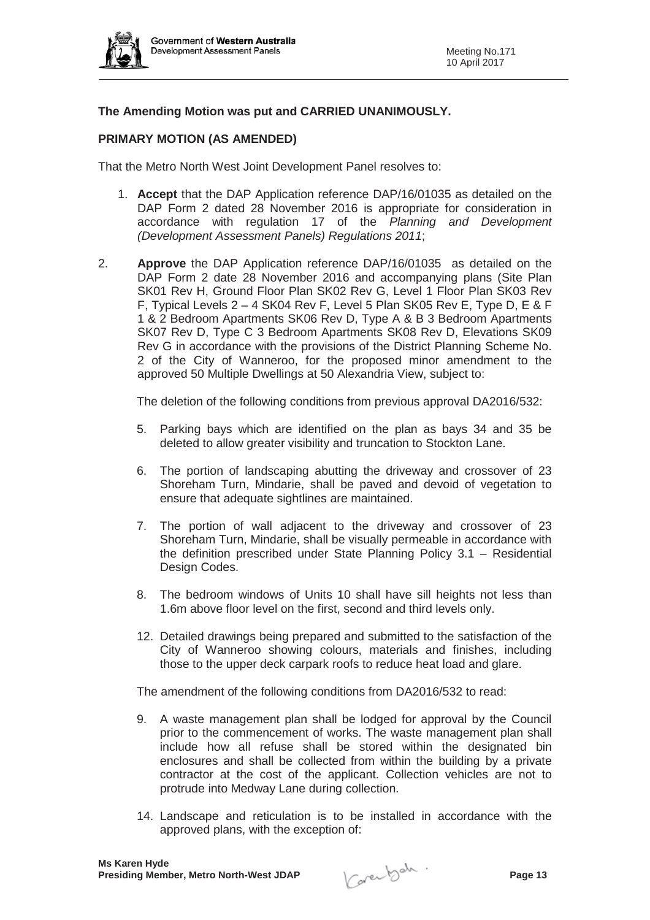

# **The Amending Motion was put and CARRIED UNANIMOUSLY.**

### **PRIMARY MOTION (AS AMENDED)**

That the Metro North West Joint Development Panel resolves to:

- 1. **Accept** that the DAP Application reference DAP/16/01035 as detailed on the DAP Form 2 dated 28 November 2016 is appropriate for consideration in accordance with regulation 17 of the *Planning and Development (Development Assessment Panels) Regulations 2011*;
- 2. **Approve** the DAP Application reference DAP/16/01035 as detailed on the DAP Form 2 date 28 November 2016 and accompanying plans (Site Plan SK01 Rev H, Ground Floor Plan SK02 Rev G, Level 1 Floor Plan SK03 Rev F, Typical Levels 2 – 4 SK04 Rev F, Level 5 Plan SK05 Rev E, Type D, E & F 1 & 2 Bedroom Apartments SK06 Rev D, Type A & B 3 Bedroom Apartments SK07 Rev D, Type C 3 Bedroom Apartments SK08 Rev D, Elevations SK09 Rev G in accordance with the provisions of the District Planning Scheme No. 2 of the City of Wanneroo, for the proposed minor amendment to the approved 50 Multiple Dwellings at 50 Alexandria View, subject to:

The deletion of the following conditions from previous approval DA2016/532:

- 5. Parking bays which are identified on the plan as bays 34 and 35 be deleted to allow greater visibility and truncation to Stockton Lane.
- 6. The portion of landscaping abutting the driveway and crossover of 23 Shoreham Turn, Mindarie, shall be paved and devoid of vegetation to ensure that adequate sightlines are maintained.
- 7. The portion of wall adjacent to the driveway and crossover of 23 Shoreham Turn, Mindarie, shall be visually permeable in accordance with the definition prescribed under State Planning Policy 3.1 – Residential Design Codes.
- 8. The bedroom windows of Units 10 shall have sill heights not less than 1.6m above floor level on the first, second and third levels only.
- 12. Detailed drawings being prepared and submitted to the satisfaction of the City of Wanneroo showing colours, materials and finishes, including those to the upper deck carpark roofs to reduce heat load and glare.

The amendment of the following conditions from DA2016/532 to read:

- 9. A waste management plan shall be lodged for approval by the Council prior to the commencement of works. The waste management plan shall include how all refuse shall be stored within the designated bin enclosures and shall be collected from within the building by a private contractor at the cost of the applicant. Collection vehicles are not to protrude into Medway Lane during collection.
- 14. Landscape and reticulation is to be installed in accordance with the approved plans, with the exception of:

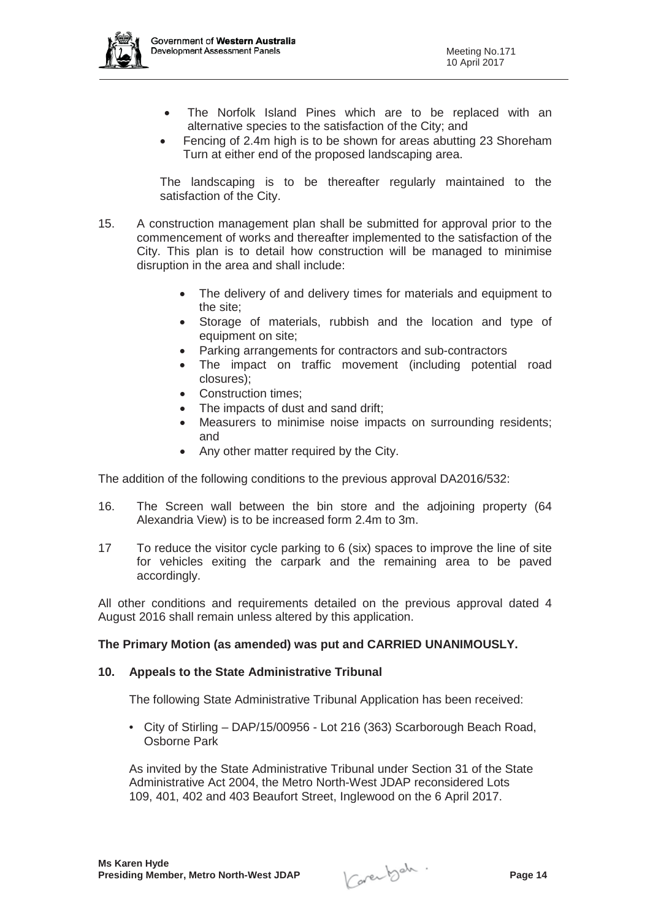

- The Norfolk Island Pines which are to be replaced with an alternative species to the satisfaction of the City; and
- Fencing of 2.4m high is to be shown for areas abutting 23 Shoreham Turn at either end of the proposed landscaping area.

The landscaping is to be thereafter regularly maintained to the satisfaction of the City.

- 15. A construction management plan shall be submitted for approval prior to the commencement of works and thereafter implemented to the satisfaction of the City. This plan is to detail how construction will be managed to minimise disruption in the area and shall include:
	- The delivery of and delivery times for materials and equipment to the site;
	- Storage of materials, rubbish and the location and type of equipment on site;
	- Parking arrangements for contractors and sub-contractors
	- The impact on traffic movement (including potential road closures);
	- Construction times:
	- The impacts of dust and sand drift:
	- Measurers to minimise noise impacts on surrounding residents; and
	- Any other matter required by the City.

The addition of the following conditions to the previous approval DA2016/532:

- 16. The Screen wall between the bin store and the adjoining property (64 Alexandria View) is to be increased form 2.4m to 3m.
- 17 To reduce the visitor cycle parking to 6 (six) spaces to improve the line of site for vehicles exiting the carpark and the remaining area to be paved accordingly.

All other conditions and requirements detailed on the previous approval dated 4 August 2016 shall remain unless altered by this application.

### **The Primary Motion (as amended) was put and CARRIED UNANIMOUSLY.**

#### **10. Appeals to the State Administrative Tribunal**

The following State Administrative Tribunal Application has been received:

• City of Stirling – DAP/15/00956 - Lot 216 (363) Scarborough Beach Road, Osborne Park

As invited by the State Administrative Tribunal under Section 31 of the State Administrative Act 2004, the Metro North-West JDAP reconsidered Lots 109, 401, 402 and 403 Beaufort Street, Inglewood on the 6 April 2017.